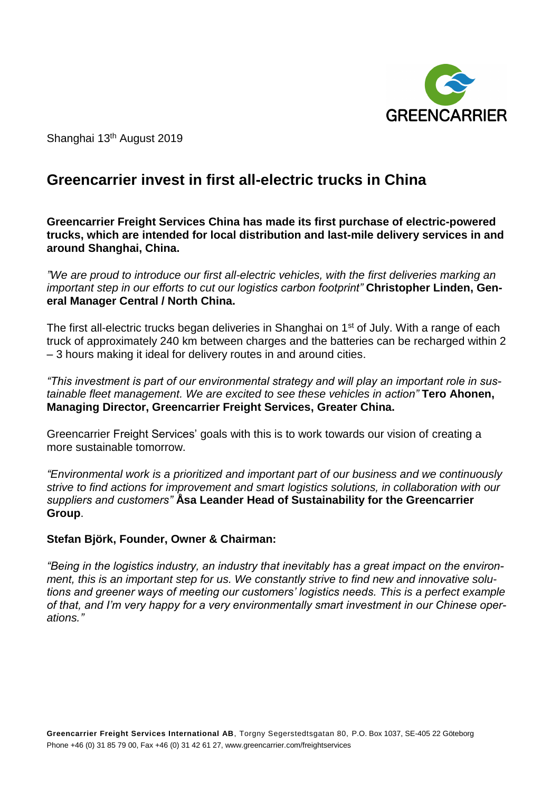

Shanghai 13<sup>th</sup> August 2019

# **Greencarrier invest in first all-electric trucks in China**

**Greencarrier Freight Services China has made its first purchase of electric-powered trucks, which are intended for local distribution and last-mile delivery services in and around Shanghai, China.**

*"We are proud to introduce our first all-electric vehicles, with the first deliveries marking an important step in our efforts to cut our logistics carbon footprint"* **Christopher Linden, General Manager Central / North China.**

The first all-electric trucks began deliveries in Shanghai on 1<sup>st</sup> of July. With a range of each truck of approximately 240 km between charges and the batteries can be recharged within 2 – 3 hours making it ideal for delivery routes in and around cities.

*"This investment is part of our environmental strategy and will play an important role in sustainable fleet management. We are excited to see these vehicles in action"* **Tero Ahonen, Managing Director, Greencarrier Freight Services, Greater China.**

Greencarrier Freight Services' goals with this is to work towards our vision of creating a more sustainable tomorrow.

*"Environmental work is a prioritized and important part of our business and we continuously strive to find actions for improvement and smart logistics solutions, in collaboration with our suppliers and customers"* **Åsa Leander Head of Sustainability for the Greencarrier Group**.

## **Stefan Björk, Founder, Owner & Chairman:**

*"Being in the logistics industry, an industry that inevitably has a great impact on the environment, this is an important step for us. We constantly strive to find new and innovative solutions and greener ways of meeting our customers' logistics needs. This is a perfect example of that, and I'm very happy for a very environmentally smart investment in our Chinese operations."*